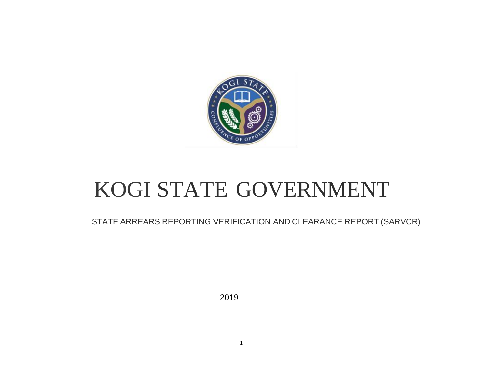

## KOGI STATE GOVERNMENT

STATE ARREARS REPORTING VERIFICATION AND CLEARANCE REPORT (SARVCR)

2019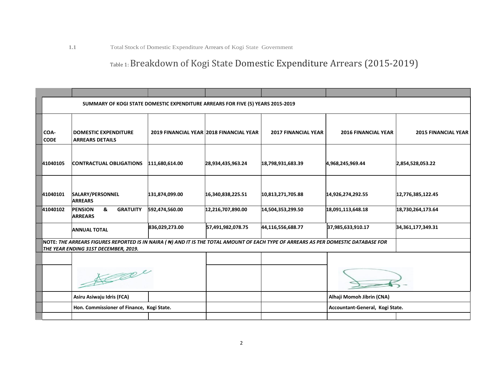## Table 1: Breakdown of Kogi State Domestic Expenditure Arrears (2015-2019)

|                     | SUMMARY OF KOGI STATE DOMESTIC EXPENDITURE ARREARS FOR FIVE (5) YEARS 2015-2019                                                                                             |                |                                         |                            |                                 |                            |
|---------------------|-----------------------------------------------------------------------------------------------------------------------------------------------------------------------------|----------------|-----------------------------------------|----------------------------|---------------------------------|----------------------------|
| COA-<br><b>CODE</b> | <b>DOMESTIC EXPENDITURE</b><br><b>ARREARS DETAILS</b>                                                                                                                       |                | 2019 FINANCIAL YEAR 2018 FINANCIAL YEAR | <b>2017 FINANCIAL YEAR</b> | <b>2016 FINANCIAL YEAR</b>      | <b>2015 FINANCIAL YEAR</b> |
| 41040105            | <b>CONTRACTUAL OBLIGATIONS</b>                                                                                                                                              | 111,680,614.00 | 28,934,435,963.24                       | 18,798,931,683.39          | 4,968,245,969.44                | 2,854,528,053.22           |
| 41040101            | SALARY/PERSONNEL<br><b>ARREARS</b>                                                                                                                                          | 131,874,099.00 | 16,340,838,225.51                       | 10,813,271,705.88          | 14,926,274,292.55               | 12,776,385,122.45          |
| 41040102            | <b>PENSION</b><br>&<br><b>GRATUITY</b><br><b>ARREARS</b>                                                                                                                    | 592,474,560.00 | 12,216,707,890.00                       | 14,504,353,299.50          | 18,091,113,648.18               | 18,730,264,173.64          |
|                     | <b>ANNUAL TOTAL</b>                                                                                                                                                         | 836,029,273.00 | 57,491,982,078.75                       | 44,116,556,688.77          | 37,985,633,910.17               | 34,361,177,349.31          |
|                     | NOTE: THE ARREARS FIGURES REPORTED IS IN NAIRA ( N) AND IT IS THE TOTAL AMOUNT OF EACH TYPE OF ARREARS AS PER DOMESTIC DATABASE FOR<br>THE YEAR ENDING 31ST DECEMBER, 2019. |                |                                         |                            |                                 |                            |
|                     | De                                                                                                                                                                          |                |                                         |                            |                                 |                            |
|                     | Asiru Asiwaju Idris (FCA)                                                                                                                                                   |                |                                         |                            | Alhaji Momoh Jibrin (CNA)       |                            |
|                     | Hon. Commissioner of Finance, Kogi State.                                                                                                                                   |                |                                         |                            | Accountant-General, Kogi State. |                            |
|                     |                                                                                                                                                                             |                |                                         |                            |                                 |                            |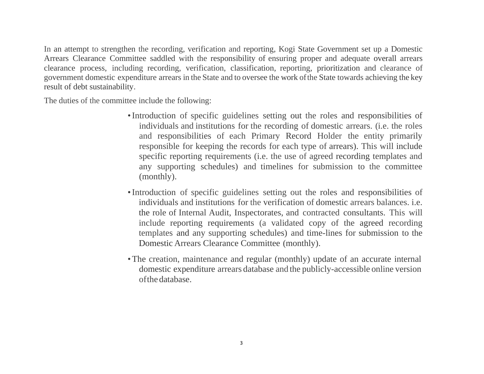In an attempt to strengthen the recording, verification and reporting, Kogi State Government set up a Domestic Arrears Clearance Committee saddled with the responsibility of ensuring proper and adequate overall arrears clearance process, including recording, verification, classification, reporting, prioritization and clearance of government domestic expenditure arrears in the State and to oversee the work ofthe State towards achieving the key result of debt sustainability.

The duties of the committee include the following:

- •Introduction of specific guidelines setting out the roles and responsibilities of individuals and institutions for the recording of domestic arrears. (i.e. the roles and responsibilities of each Primary Record Holder the entity primarily responsible for keeping the records for each type of arrears). This will include specific reporting requirements (i.e. the use of agreed recording templates and any supporting schedules) and timelines for submission to the committee (monthly).
- •Introduction of specific guidelines setting out the roles and responsibilities of individuals and institutions for the verification of domestic arrears balances. i.e. the role of Internal Audit, Inspectorates, and contracted consultants. This will include reporting requirements (a validated copy of the agreed recording templates and any supporting schedules) and time-lines for submission to the Domestic Arrears Clearance Committee (monthly).
- •The creation, maintenance and regular (monthly) update of an accurate internal domestic expenditure arrears database and the publicly-accessible online version ofthe database.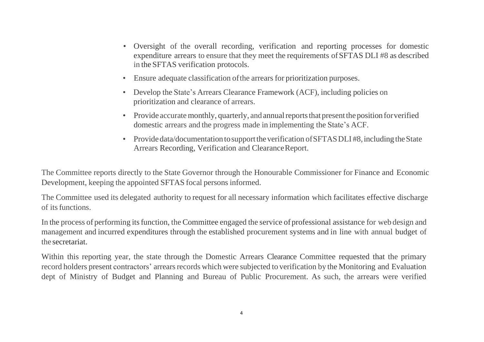- Oversight of the overall recording, verification and reporting processes for domestic expenditure arrears to ensure that they meet the requirements ofSFTAS DLI #8 as described in the SFTAS verification protocols.
- Ensure adequate classification ofthe arrears for prioritization purposes.
- Develop the State's Arrears Clearance Framework (ACF), including policies on prioritization and clearance of arrears.
- Provide accurate monthly, quarterly, and annual reports that present the position for verified domestic arrears and the progress made in implementing the State's ACF.
- Provide data/documentation to support the verification of SFTAS DLI #8, including the State Arrears Recording, Verification and ClearanceReport.

The Committee reports directly to the State Governor through the Honourable Commissioner for Finance and Economic Development, keeping the appointed SFTAS focal persons informed.

The Committee used its delegated authority to request for all necessary information which facilitates effective discharge of itsfunctions.

In the process of performing its function, the Committee engaged the service of professional assistance for web design and management and incurred expenditures through the established procurement systems and in line with annual budget of the secretariat.

Within this reporting year, the state through the Domestic Arrears Clearance Committee requested that the primary record holders present contractors' arrears records which were subjected to verification by the Monitoring and Evaluation dept of Ministry of Budget and Planning and Bureau of Public Procurement. As such, the arrears were verified